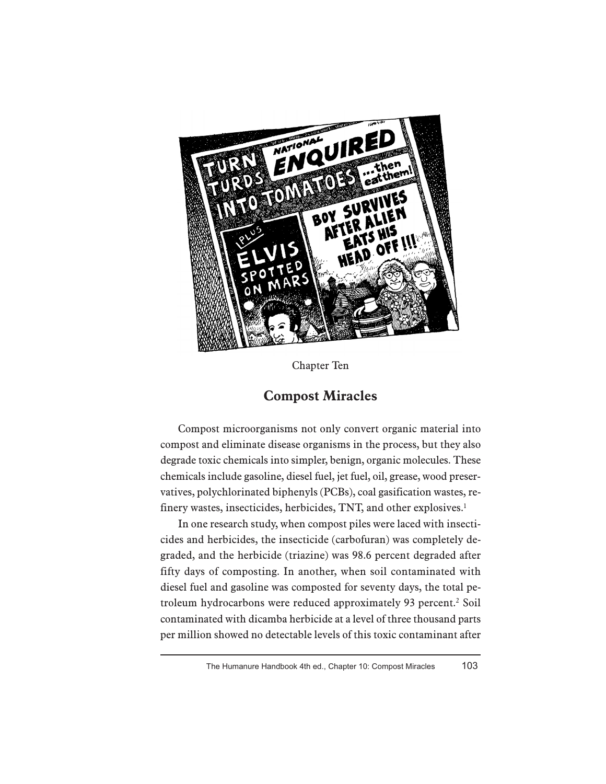

Chapter Ten

# **Compost Miracles**

Compost microorganisms not only convert organic material into compost and eliminate disease organisms in the process, but they also degrade toxic chemicals into simpler, benign, organic molecules. These chemicals include gasoline, diesel fuel, jet fuel, oil, grease, wood preservatives, polychlorinated biphenyls (PCBs), coal gasification wastes, refinery wastes, insecticides, herbicides, TNT, and other explosives.<sup>1</sup>

In one research study, when compost piles were laced with insecticides and herbicides, the insecticide (carbofuran) was completely degraded, and the herbicide (triazine) was 98.6 percent degraded after fifty days of composting. In another, when soil contaminated with diesel fuel and gasoline was composted for seventy days, the total petroleum hydrocarbons were reduced approximately 93 percent.<sup>2</sup> Soil contaminated with dicamba herbicide at a level of three thousand parts per million showed no detectable levels of this toxic contaminant after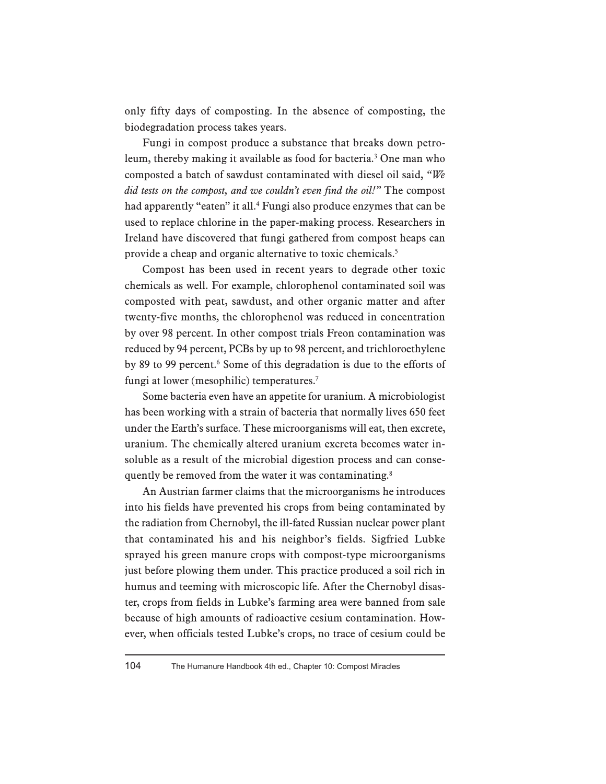only fifty days of composting. In the absence of composting, the biodegradation process takes years.

Fungi in compost produce a substance that breaks down petroleum, thereby making it available as food for bacteria.<sup>3</sup> One man who composted a batch of sawdust contaminated with diesel oil said, *"We did tests on the compost, and we couldn't even find the oil!"* The compost had apparently "eaten" it all.<sup>4</sup> Fungi also produce enzymes that can be used to replace chlorine in the paper-making process. Researchers in Ireland have discovered that fungi gathered from compost heaps can provide a cheap and organic alternative to toxic chemicals.<sup>5</sup>

Compost has been used in recent years to degrade other toxic chemicals as well. For example, chlorophenol contaminated soil was composted with peat, sawdust, and other organic matter and after twenty-five months, the chlorophenol was reduced in concentration by over 98 percent. In other compost trials Freon contamination was reduced by 94 percent, PCBs by up to 98 percent, and trichloroethylene by 89 to 99 percent.<sup>6</sup> Some of this degradation is due to the efforts of fungi at lower (mesophilic) temperatures.7

Some bacteria even have an appetite for uranium. A microbiologist has been working with a strain of bacteria that normally lives 650 feet under the Earth's surface. These microorganisms will eat, then excrete, uranium. The chemically altered uranium excreta becomes water insoluble as a result of the microbial digestion process and can consequently be removed from the water it was contaminating.<sup>8</sup>

An Austrian farmer claims that the microorganisms he introduces into his fields have prevented his crops from being contaminated by the radiation from Chernobyl, the ill-fated Russian nuclear power plant that contaminated his and his neighbor's fields. Sigfried Lubke sprayed his green manure crops with compost-type microorganisms just before plowing them under. This practice produced a soil rich in humus and teeming with microscopic life. After the Chernobyl disaster, crops from fields in Lubke's farming area were banned from sale because of high amounts of radioactive cesium contamination. However, when officials tested Lubke's crops, no trace of cesium could be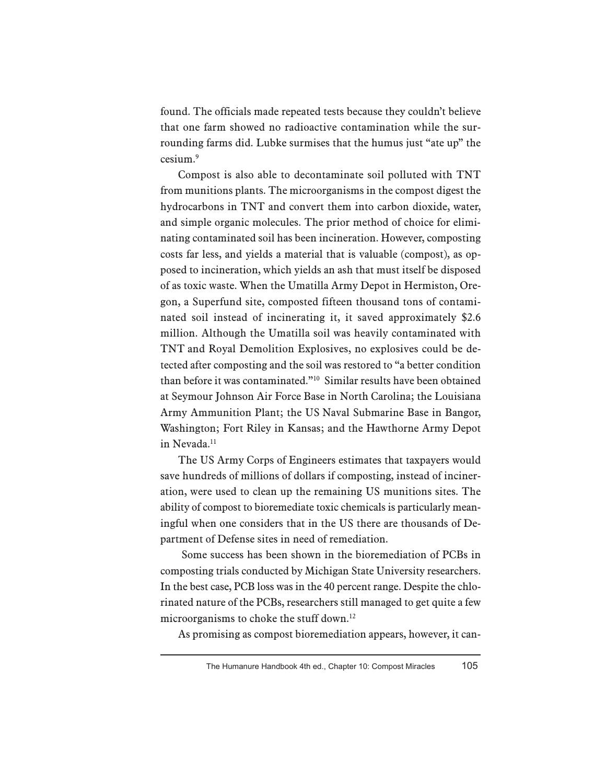found. The officials made repeated tests because they couldn't believe that one farm showed no radioactive contamination while the surrounding farms did. Lubke surmises that the humus just "ate up" the cesium.9

Compost is also able to decontaminate soil polluted with TNT from munitions plants. The microorganisms in the compost digest the hydrocarbons in TNT and convert them into carbon dioxide, water, and simple organic molecules. The prior method of choice for eliminating contaminated soil has been incineration. However, composting costs far less, and yields a material that is valuable (compost), as opposed to incineration, which yields an ash that must itself be disposed of as toxic waste. When the Umatilla Army Depot in Hermiston, Oregon, a Superfund site, composted fifteen thousand tons of contaminated soil instead of incinerating it, it saved approximately \$2.6 million. Although the Umatilla soil was heavily contaminated with TNT and Royal Demolition Explosives, no explosives could be detected after composting and the soil was restored to "a better condition than before it was contaminated."10 Similar results have been obtained at Seymour Johnson Air Force Base in North Carolina; the Louisiana Army Ammunition Plant; the US Naval Submarine Base in Bangor, Washington; Fort Riley in Kansas; and the Hawthorne Army Depot in Nevada.<sup>11</sup>

The US Army Corps of Engineers estimates that taxpayers would save hundreds of millions of dollars if composting, instead of incineration, were used to clean up the remaining US munitions sites. The ability of compost to bioremediate toxic chemicals is particularly meaningful when one considers that in the US there are thousands of Department of Defense sites in need of remediation.

 Some success has been shown in the bioremediation of PCBs in composting trials conducted by Michigan State University researchers. In the best case, PCB loss was in the 40 percent range. Despite the chlorinated nature of the PCBs, researchers still managed to get quite a few microorganisms to choke the stuff down.<sup>12</sup>

As promising as compost bioremediation appears, however, it can-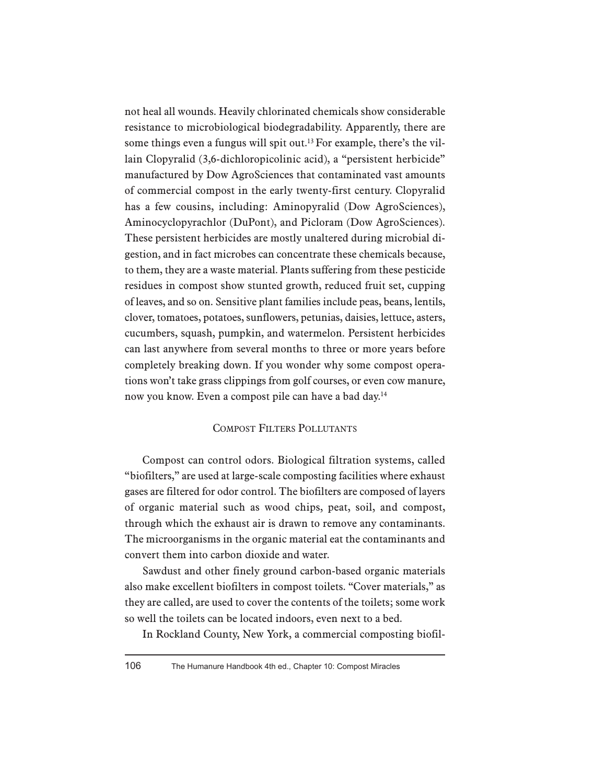not heal all wounds. Heavily chlorinated chemicals show considerable resistance to microbiological biodegradability. Apparently, there are some things even a fungus will spit out.<sup>13</sup> For example, there's the villain Clopyralid (3,6-dichloropicolinic acid), a "persistent herbicide" manufactured by Dow AgroSciences that contaminated vast amounts of commercial compost in the early twenty-first century. Clopyralid has a few cousins, including: Aminopyralid (Dow AgroSciences), Aminocyclopyrachlor (DuPont), and Picloram (Dow AgroSciences). These persistent herbicides are mostly unaltered during microbial digestion, and in fact microbes can concentrate these chemicals because, to them, they are a waste material. Plants suffering from these pesticide residues in compost show stunted growth, reduced fruit set, cupping of leaves, and so on. Sensitive plant families include peas, beans, lentils, clover, tomatoes, potatoes, sunflowers, petunias, daisies, lettuce, asters, cucumbers, squash, pumpkin, and watermelon. Persistent herbicides can last anywhere from several months to three or more years before completely breaking down. If you wonder why some compost operations won't take grass clippings from golf courses, or even cow manure, now you know. Even a compost pile can have a bad day.14

#### COMPOST FILTERS POLLUTANTS

Compost can control odors. Biological filtration systems, called "biofilters," are used at large-scale composting facilities where exhaust gases are filtered for odor control. The biofilters are composed of layers of organic material such as wood chips, peat, soil, and compost, through which the exhaust air is drawn to remove any contaminants. The microorganisms in the organic material eat the contaminants and convert them into carbon dioxide and water.

Sawdust and other finely ground carbon-based organic materials also make excellent biofilters in compost toilets. "Cover materials," as they are called, are used to cover the contents of the toilets; some work so well the toilets can be located indoors, even next to a bed.

In Rockland County, New York, a commercial composting biofil-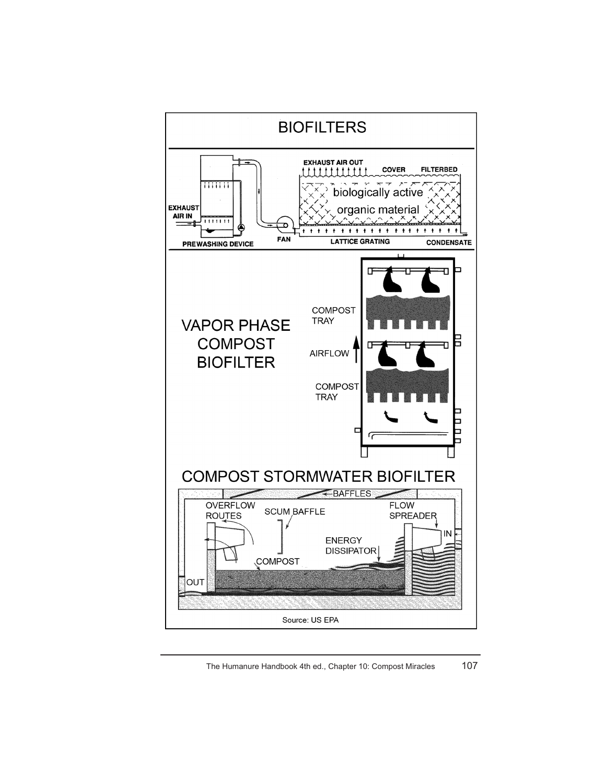

The Humanure Handbook 4th ed., Chapter 10: Compost Miracles 107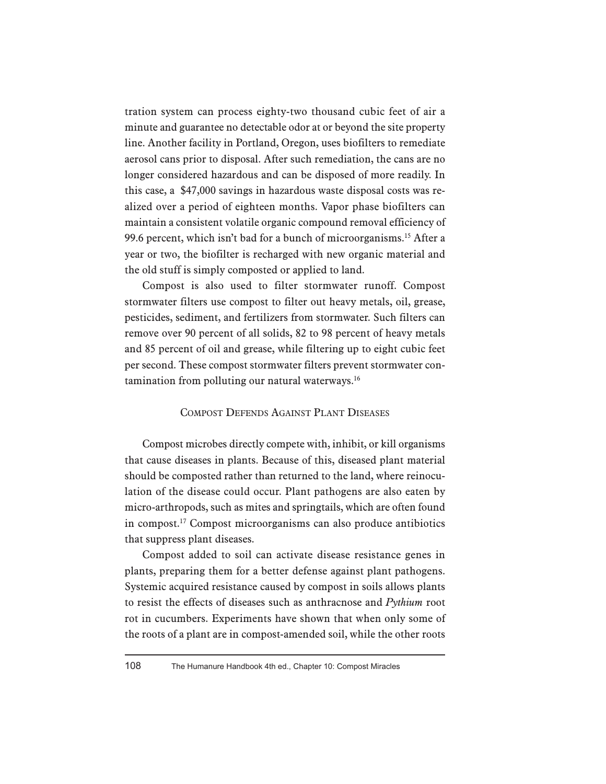tration system can process eighty-two thousand cubic feet of air a minute and guarantee no detectable odor at or beyond the site property line. Another facility in Portland, Oregon, uses biofilters to remediate aerosol cans prior to disposal. After such remediation, the cans are no longer considered hazardous and can be disposed of more readily. In this case, a \$47,000 savings in hazardous waste disposal costs was realized over a period of eighteen months. Vapor phase biofilters can maintain a consistent volatile organic compound removal efficiency of 99.6 percent, which isn't bad for a bunch of microorganisms.15 After a year or two, the biofilter is recharged with new organic material and the old stuff is simply composted or applied to land.

Compost is also used to filter stormwater runoff. Compost stormwater filters use compost to filter out heavy metals, oil, grease, pesticides, sediment, and fertilizers from stormwater. Such filters can remove over 90 percent of all solids, 82 to 98 percent of heavy metals and 85 percent of oil and grease, while filtering up to eight cubic feet per second. These compost stormwater filters prevent stormwater contamination from polluting our natural waterways.<sup>16</sup>

### COMPOST DEFENDS AGAINST PLANT DISEASES

Compost microbes directly compete with, inhibit, or kill organisms that cause diseases in plants. Because of this, diseased plant material should be composted rather than returned to the land, where reinoculation of the disease could occur. Plant pathogens are also eaten by micro-arthropods, such as mites and springtails, which are often found in compost.17 Compost microorganisms can also produce antibiotics that suppress plant diseases.

Compost added to soil can activate disease resistance genes in plants, preparing them for a better defense against plant pathogens. Systemic acquired resistance caused by compost in soils allows plants to resist the effects of diseases such as anthracnose and *Pythium* root rot in cucumbers. Experiments have shown that when only some of the roots of a plant are in compost-amended soil, while the other roots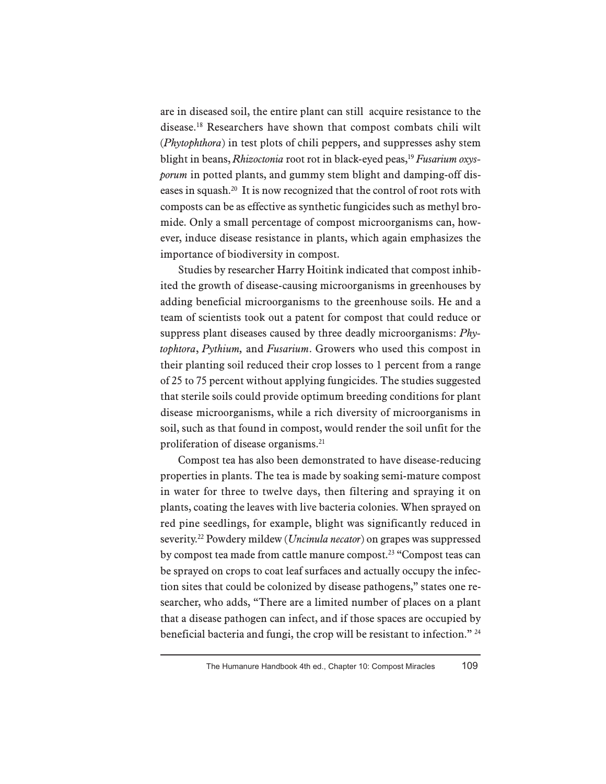are in diseased soil, the entire plant can still acquire resistance to the disease.18 Researchers have shown that compost combats chili wilt (*Phytophthora*) in test plots of chili peppers, and suppresses ashy stem blight in beans, *Rhizoctonia* root rot in black-eyed peas,<sup>19</sup> *Fusarium oxysporum* in potted plants, and gummy stem blight and damping-off diseases in squash.20 It is now recognized that the control of root rots with composts can be as effective as synthetic fungicides such as methyl bromide. Only a small percentage of compost microorganisms can, however, induce disease resistance in plants, which again emphasizes the importance of biodiversity in compost.

Studies by researcher Harry Hoitink indicated that compost inhibited the growth of disease-causing microorganisms in greenhouses by adding beneficial microorganisms to the greenhouse soils. He and a team of scientists took out a patent for compost that could reduce or suppress plant diseases caused by three deadly microorganisms: *Phytophtora*, *Pythium,* and *Fusarium*. Growers who used this compost in their planting soil reduced their crop losses to 1 percent from a range of 25 to 75 percent without applying fungicides. The studies suggested that sterile soils could provide optimum breeding conditions for plant disease microorganisms, while a rich diversity of microorganisms in soil, such as that found in compost, would render the soil unfit for the proliferation of disease organisms.21

Compost tea has also been demonstrated to have disease-reducing properties in plants. The tea is made by soaking semi-mature compost in water for three to twelve days, then filtering and spraying it on plants, coating the leaves with live bacteria colonies. When sprayed on red pine seedlings, for example, blight was significantly reduced in severity.22 Powdery mildew (*Uncinula necator*) on grapes was suppressed by compost tea made from cattle manure compost.<sup>23</sup> "Compost teas can be sprayed on crops to coat leaf surfaces and actually occupy the infection sites that could be colonized by disease pathogens," states one researcher, who adds, "There are a limited number of places on a plant that a disease pathogen can infect, and if those spaces are occupied by beneficial bacteria and fungi, the crop will be resistant to infection." <sup>24</sup>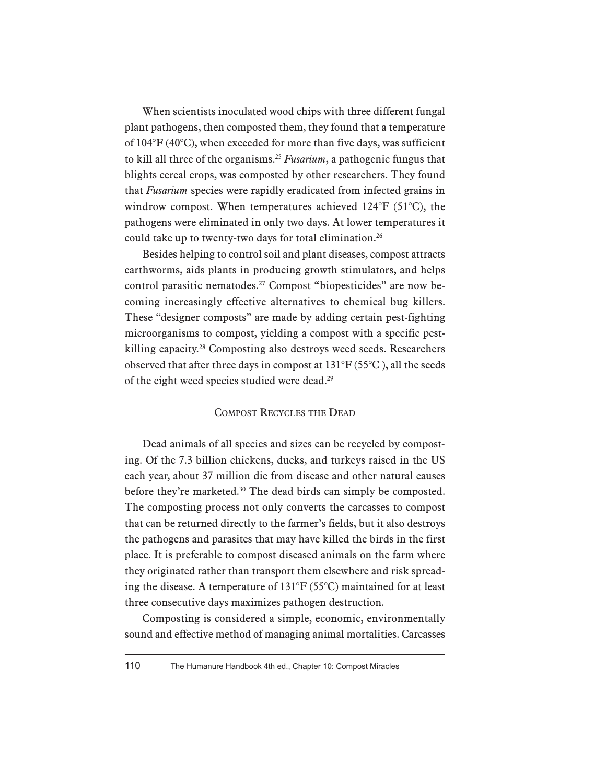When scientists inoculated wood chips with three different fungal plant pathogens, then composted them, they found that a temperature of 104°F (40°C), when exceeded for more than five days, was sufficient to kill all three of the organisms.25 *Fusarium*, a pathogenic fungus that blights cereal crops, was composted by other researchers. They found that *Fusarium* species were rapidly eradicated from infected grains in windrow compost. When temperatures achieved 124°F (51°C), the pathogens were eliminated in only two days. At lower temperatures it could take up to twenty-two days for total elimination.<sup>26</sup>

Besides helping to control soil and plant diseases, compost attracts earthworms, aids plants in producing growth stimulators, and helps control parasitic nematodes.27 Compost "biopesticides" are now becoming increasingly effective alternatives to chemical bug killers. These "designer composts" are made by adding certain pest-fighting microorganisms to compost, yielding a compost with a specific pestkilling capacity.<sup>28</sup> Composting also destroys weed seeds. Researchers observed that after three days in compost at 131°F (55°C ), all the seeds of the eight weed species studied were dead.<sup>29</sup>

### COMPOST RECYCLES THE DEAD

Dead animals of all species and sizes can be recycled by composting. Of the 7.3 billion chickens, ducks, and turkeys raised in the US each year, about 37 million die from disease and other natural causes before they're marketed.30 The dead birds can simply be composted. The composting process not only converts the carcasses to compost that can be returned directly to the farmer's fields, but it also destroys the pathogens and parasites that may have killed the birds in the first place. It is preferable to compost diseased animals on the farm where they originated rather than transport them elsewhere and risk spreading the disease. A temperature of 131°F (55°C) maintained for at least three consecutive days maximizes pathogen destruction.

Composting is considered a simple, economic, environmentally sound and effective method of managing animal mortalities. Carcasses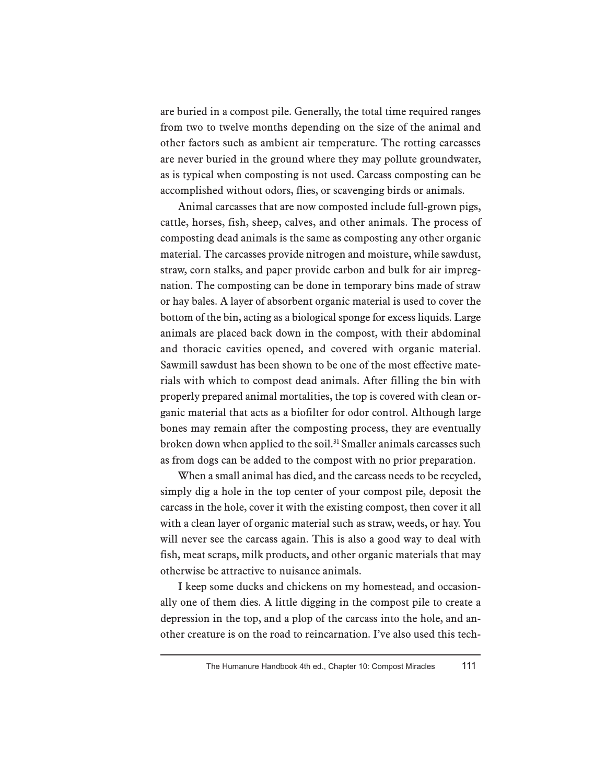are buried in a compost pile. Generally, the total time required ranges from two to twelve months depending on the size of the animal and other factors such as ambient air temperature. The rotting carcasses are never buried in the ground where they may pollute groundwater, as is typical when composting is not used. Carcass composting can be accomplished without odors, flies, or scavenging birds or animals.

Animal carcasses that are now composted include full-grown pigs, cattle, horses, fish, sheep, calves, and other animals. The process of composting dead animals is the same as composting any other organic material. The carcasses provide nitrogen and moisture, while sawdust, straw, corn stalks, and paper provide carbon and bulk for air impregnation. The composting can be done in temporary bins made of straw or hay bales. A layer of absorbent organic material is used to cover the bottom of the bin, acting as a biological sponge for excess liquids. Large animals are placed back down in the compost, with their abdominal and thoracic cavities opened, and covered with organic material. Sawmill sawdust has been shown to be one of the most effective materials with which to compost dead animals. After filling the bin with properly prepared animal mortalities, the top is covered with clean organic material that acts as a biofilter for odor control. Although large bones may remain after the composting process, they are eventually broken down when applied to the soil.<sup>31</sup> Smaller animals carcasses such as from dogs can be added to the compost with no prior preparation.

When a small animal has died, and the carcass needs to be recycled, simply dig a hole in the top center of your compost pile, deposit the carcass in the hole, cover it with the existing compost, then cover it all with a clean layer of organic material such as straw, weeds, or hay. You will never see the carcass again. This is also a good way to deal with fish, meat scraps, milk products, and other organic materials that may otherwise be attractive to nuisance animals.

I keep some ducks and chickens on my homestead, and occasionally one of them dies. A little digging in the compost pile to create a depression in the top, and a plop of the carcass into the hole, and another creature is on the road to reincarnation. I've also used this tech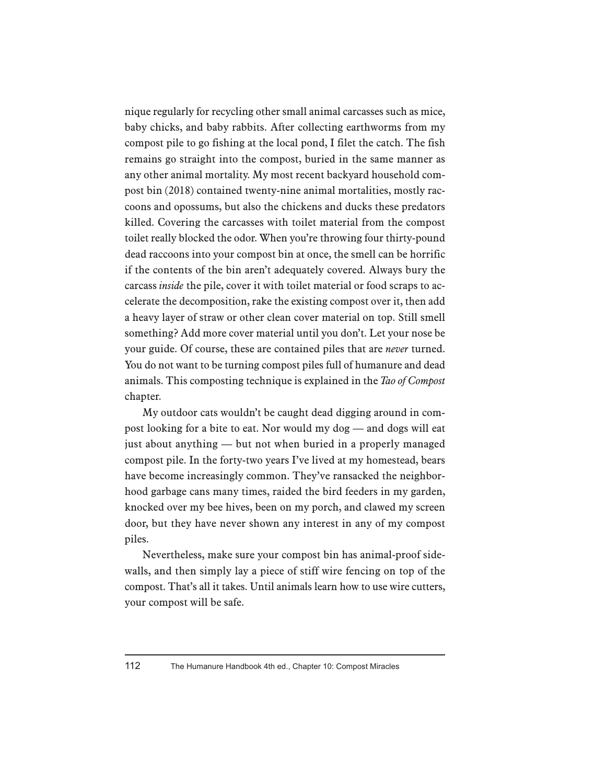nique regularly for recycling other small animal carcasses such as mice, baby chicks, and baby rabbits. After collecting earthworms from my compost pile to go fishing at the local pond, I filet the catch. The fish remains go straight into the compost, buried in the same manner as any other animal mortality. My most recent backyard household compost bin (2018) contained twenty-nine animal mortalities, mostly raccoons and opossums, but also the chickens and ducks these predators killed. Covering the carcasses with toilet material from the compost toilet really blocked the odor. When you're throwing four thirty-pound dead raccoons into your compost bin at once, the smell can be horrific if the contents of the bin aren't adequately covered. Always bury the carcass *inside* the pile, cover it with toilet material or food scraps to accelerate the decomposition, rake the existing compost over it, then add a heavy layer of straw or other clean cover material on top. Still smell something? Add more cover material until you don't. Let your nose be your guide. Of course, these are contained piles that are *never* turned. You do not want to be turning compost piles full of humanure and dead animals. This composting technique is explained in the *Tao of Compost* chapter.

My outdoor cats wouldn't be caught dead digging around in compost looking for a bite to eat. Nor would my dog — and dogs will eat just about anything — but not when buried in a properly managed compost pile. In the forty-two years I've lived at my homestead, bears have become increasingly common. They've ransacked the neighborhood garbage cans many times, raided the bird feeders in my garden, knocked over my bee hives, been on my porch, and clawed my screen door, but they have never shown any interest in any of my compost piles.

Nevertheless, make sure your compost bin has animal-proof sidewalls, and then simply lay a piece of stiff wire fencing on top of the compost. That's all it takes. Until animals learn how to use wire cutters, your compost will be safe.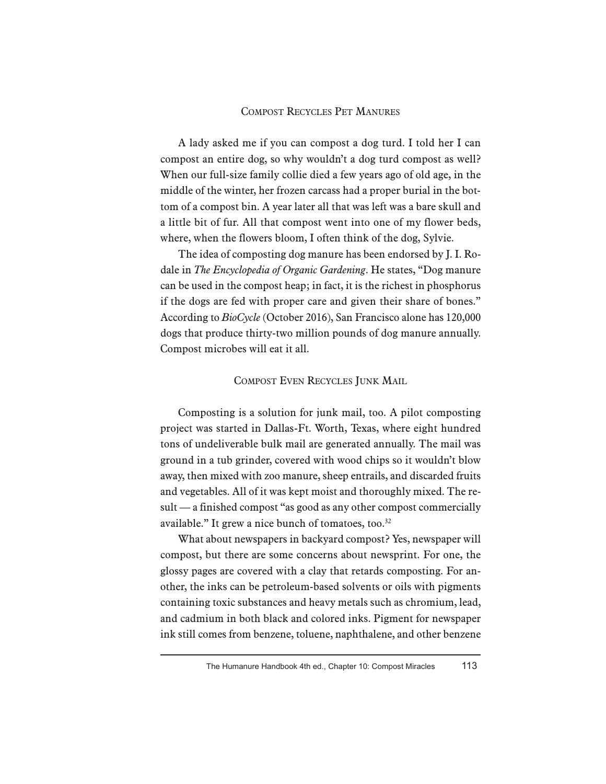# COMPOST RECYCLES PET MANURES

A lady asked me if you can compost a dog turd. I told her I can compost an entire dog, so why wouldn't a dog turd compost as well? When our full-size family collie died a few years ago of old age, in the middle of the winter, her frozen carcass had a proper burial in the bottom of a compost bin. A year later all that was left was a bare skull and a little bit of fur. All that compost went into one of my flower beds, where, when the flowers bloom, I often think of the dog, Sylvie.

The idea of composting dog manure has been endorsed by J. I. Rodale in *The Encyclopedia of Organic Gardening*. He states, "Dog manure can be used in the compost heap; in fact, it is the richest in phosphorus if the dogs are fed with proper care and given their share of bones." According to *BioCycle* (October 2016), San Francisco alone has 120,000 dogs that produce thirty-two million pounds of dog manure annually. Compost microbes will eat it all.

# COMPOST EVEN RECYCLES JUNK MAIL

Composting is a solution for junk mail, too. A pilot composting project was started in Dallas-Ft. Worth, Texas, where eight hundred tons of undeliverable bulk mail are generated annually. The mail was ground in a tub grinder, covered with wood chips so it wouldn't blow away, then mixed with zoo manure, sheep entrails, and discarded fruits and vegetables. All of it was kept moist and thoroughly mixed. The result — a finished compost "as good as any other compost commercially available." It grew a nice bunch of tomatoes, too.<sup>32</sup>

What about newspapers in backyard compost? Yes, newspaper will compost, but there are some concerns about newsprint. For one, the glossy pages are covered with a clay that retards composting. For another, the inks can be petroleum-based solvents or oils with pigments containing toxic substances and heavy metals such as chromium, lead, and cadmium in both black and colored inks. Pigment for newspaper ink still comes from benzene, toluene, naphthalene, and other benzene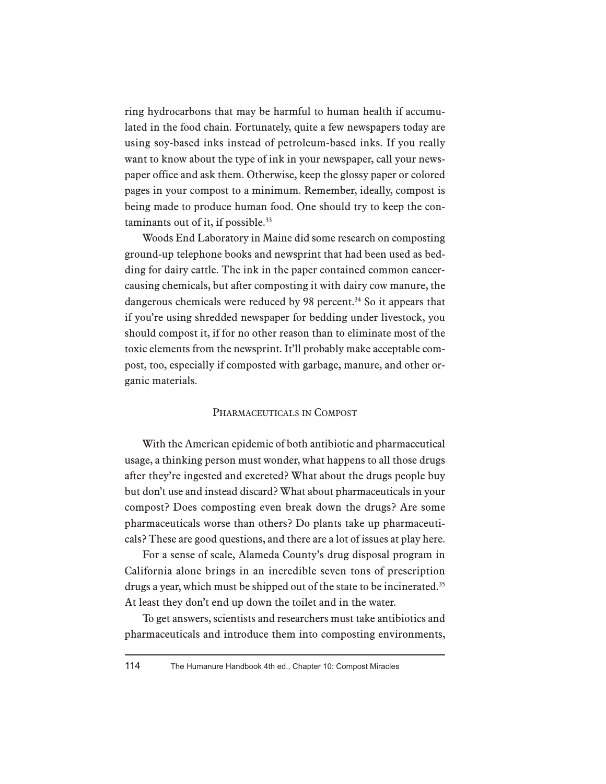ring hydrocarbons that may be harmful to human health if accumulated in the food chain. Fortunately, quite a few newspapers today are using soy-based inks instead of petroleum-based inks. If you really want to know about the type of ink in your newspaper, call your newspaper office and ask them. Otherwise, keep the glossy paper or colored pages in your compost to a minimum. Remember, ideally, compost is being made to produce human food. One should try to keep the contaminants out of it, if possible.<sup>33</sup>

Woods End Laboratory in Maine did some research on composting ground-up telephone books and newsprint that had been used as bedding for dairy cattle. The ink in the paper contained common cancercausing chemicals, but after composting it with dairy cow manure, the dangerous chemicals were reduced by 98 percent.<sup>34</sup> So it appears that if you're using shredded newspaper for bedding under livestock, you should compost it, if for no other reason than to eliminate most of the toxic elements from the newsprint. It'll probably make acceptable compost, too, especially if composted with garbage, manure, and other organic materials.

#### PHARMACEUTICALS IN COMPOST

With the American epidemic of both antibiotic and pharmaceutical usage, a thinking person must wonder, what happens to all those drugs after they're ingested and excreted? What about the drugs people buy but don't use and instead discard? What about pharmaceuticals in your compost? Does composting even break down the drugs? Are some pharmaceuticals worse than others? Do plants take up pharmaceuticals? These are good questions, and there are a lot of issues at play here.

For a sense of scale, Alameda County's drug disposal program in California alone brings in an incredible seven tons of prescription drugs a year, which must be shipped out of the state to be incinerated.<sup>35</sup> At least they don't end up down the toilet and in the water.

To get answers, scientists and researchers must take antibiotics and pharmaceuticals and introduce them into composting environments,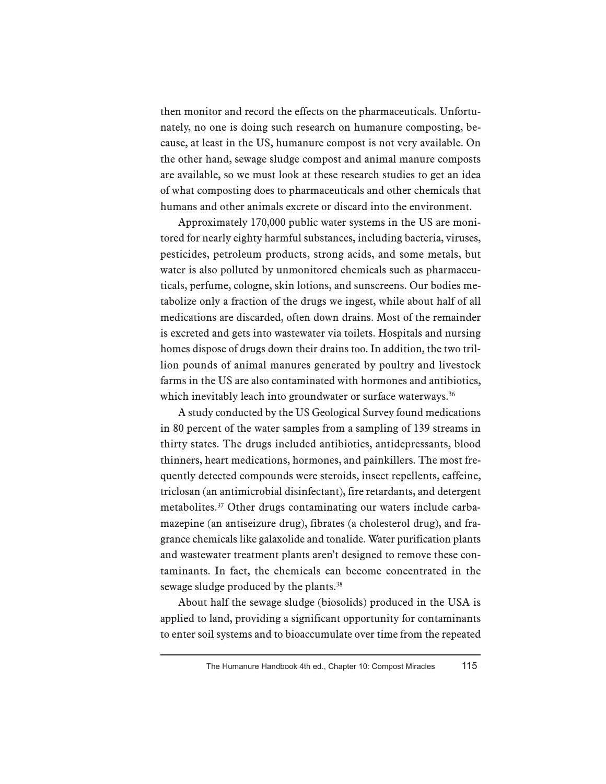then monitor and record the effects on the pharmaceuticals. Unfortunately, no one is doing such research on humanure composting, because, at least in the US, humanure compost is not very available. On the other hand, sewage sludge compost and animal manure composts are available, so we must look at these research studies to get an idea of what composting does to pharmaceuticals and other chemicals that humans and other animals excrete or discard into the environment.

Approximately 170,000 public water systems in the US are monitored for nearly eighty harmful substances, including bacteria, viruses, pesticides, petroleum products, strong acids, and some metals, but water is also polluted by unmonitored chemicals such as pharmaceuticals, perfume, cologne, skin lotions, and sunscreens. Our bodies metabolize only a fraction of the drugs we ingest, while about half of all medications are discarded, often down drains. Most of the remainder is excreted and gets into wastewater via toilets. Hospitals and nursing homes dispose of drugs down their drains too. In addition, the two trillion pounds of animal manures generated by poultry and livestock farms in the US are also contaminated with hormones and antibiotics, which inevitably leach into groundwater or surface waterways.<sup>36</sup>

A study conducted by the US Geological Survey found medications in 80 percent of the water samples from a sampling of 139 streams in thirty states. The drugs included antibiotics, antidepressants, blood thinners, heart medications, hormones, and painkillers. The most frequently detected compounds were steroids, insect repellents, caffeine, triclosan (an antimicrobial disinfectant), fire retardants, and detergent metabolites.37 Other drugs contaminating our waters include carbamazepine (an antiseizure drug), fibrates (a cholesterol drug), and fragrance chemicals like galaxolide and tonalide. Water purification plants and wastewater treatment plants aren't designed to remove these contaminants. In fact, the chemicals can become concentrated in the sewage sludge produced by the plants.<sup>38</sup>

About half the sewage sludge (biosolids) produced in the USA is applied to land, providing a significant opportunity for contaminants to enter soil systems and to bioaccumulate over time from the repeated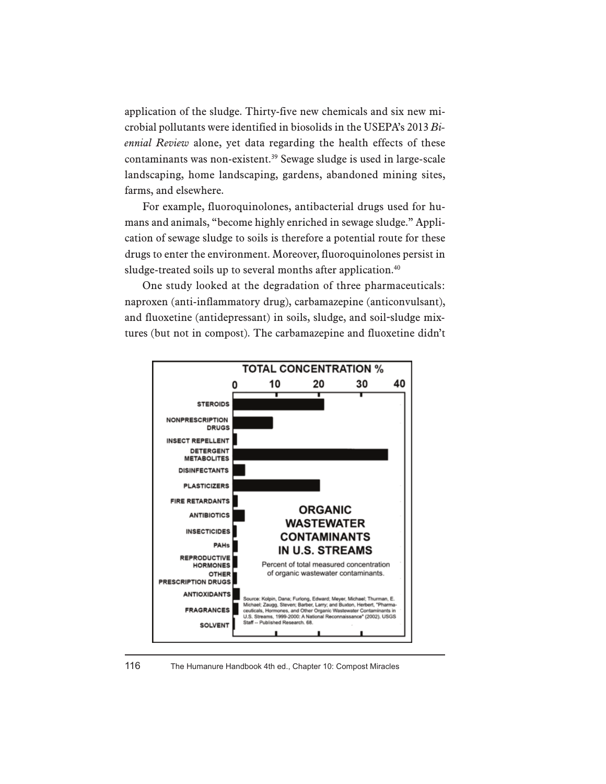application of the sludge. Thirty-five new chemicals and six new microbial pollutants were identified in biosolids in the USEPA's 2013 *Biennial Review* alone, yet data regarding the health effects of these contaminants was non-existent.<sup>39</sup> Sewage sludge is used in large-scale landscaping, home landscaping, gardens, abandoned mining sites, farms, and elsewhere.

For example, fluoroquinolones, antibacterial drugs used for humans and animals, "become highly enriched in sewage sludge." Application of sewage sludge to soils is therefore a potential route for these drugs to enter the environment. Moreover, fluoroquinolones persist in sludge-treated soils up to several months after application.<sup>40</sup>

One study looked at the degradation of three pharmaceuticals: naproxen (anti-inflammatory drug), carbamazepine (anticonvulsant), and fluoxetine (antidepressant) in soils, sludge, and soil‐sludge mixtures (but not in compost). The carbamazepine and fluoxetine didn't

![](_page_13_Figure_3.jpeg)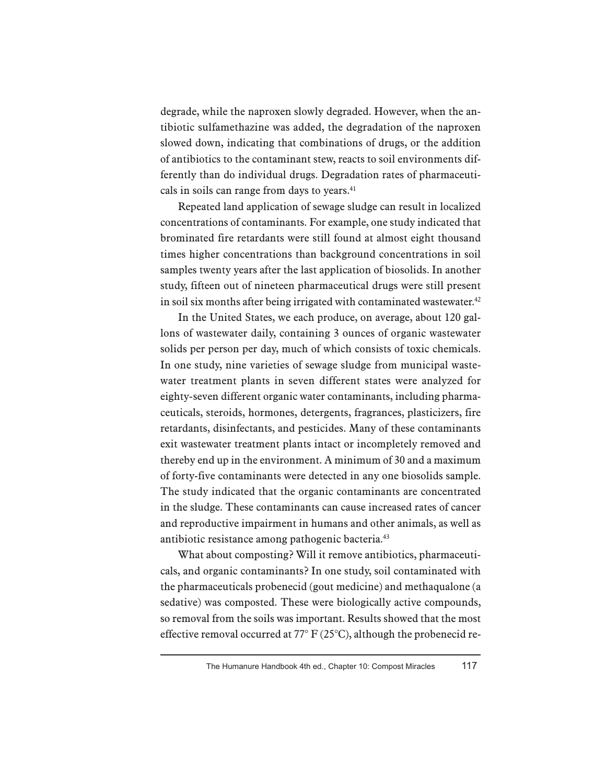degrade, while the naproxen slowly degraded. However, when the antibiotic sulfamethazine was added, the degradation of the naproxen slowed down, indicating that combinations of drugs, or the addition of antibiotics to the contaminant stew, reacts to soil environments differently than do individual drugs. Degradation rates of pharmaceuticals in soils can range from days to years.<sup>41</sup>

Repeated land application of sewage sludge can result in localized concentrations of contaminants. For example, one study indicated that brominated fire retardants were still found at almost eight thousand times higher concentrations than background concentrations in soil samples twenty years after the last application of biosolids. In another study, fifteen out of nineteen pharmaceutical drugs were still present in soil six months after being irrigated with contaminated wastewater. $42$ 

In the United States, we each produce, on average, about 120 gallons of wastewater daily, containing 3 ounces of organic wastewater solids per person per day, much of which consists of toxic chemicals. In one study, nine varieties of sewage sludge from municipal wastewater treatment plants in seven different states were analyzed for eighty-seven different organic water contaminants, including pharmaceuticals, steroids, hormones, detergents, fragrances, plasticizers, fire retardants, disinfectants, and pesticides. Many of these contaminants exit wastewater treatment plants intact or incompletely removed and thereby end up in the environment. A minimum of 30 and a maximum of forty-five contaminants were detected in any one biosolids sample. The study indicated that the organic contaminants are concentrated in the sludge. These contaminants can cause increased rates of cancer and reproductive impairment in humans and other animals, as well as antibiotic resistance among pathogenic bacteria.<sup>43</sup>

What about composting? Will it remove antibiotics, pharmaceuticals, and organic contaminants? In one study, soil contaminated with the pharmaceuticals probenecid (gout medicine) and methaqualone (a sedative) was composted. These were biologically active compounds, so removal from the soils was important. Results showed that the most effective removal occurred at  $77^{\circ}$  F (25 $^{\circ}$ C), although the probenecid re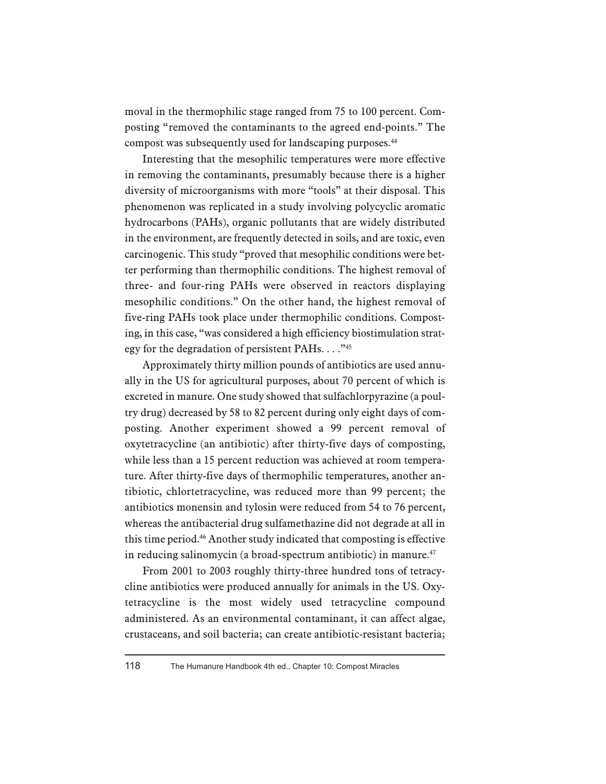moval in the thermophilic stage ranged from 75 to 100 percent. Composting "removed the contaminants to the agreed end-points." The compost was subsequently used for landscaping purposes.<sup>44</sup>

Interesting that the mesophilic temperatures were more effective in removing the contaminants, presumably because there is a higher diversity of microorganisms with more "tools" at their disposal. This phenomenon was replicated in a study involving polycyclic aromatic hydrocarbons (PAHs), organic pollutants that are widely distributed in the environment, are frequently detected in soils, and are toxic, even carcinogenic. This study "proved that mesophilic conditions were better performing than thermophilic conditions. The highest removal of three- and four-ring PAHs were observed in reactors displaying mesophilic conditions." On the other hand, the highest removal of five-ring PAHs took place under thermophilic conditions. Composting, in this case, "was considered a high efficiency biostimulation strategy for the degradation of persistent PAHs. . . . "45"

Approximately thirty million pounds of antibiotics are used annually in the US for agricultural purposes, about 70 percent of which is excreted in manure. One study showed that sulfachlorpyrazine (a poultry drug) decreased by 58 to 82 percent during only eight days of composting. Another experiment showed a 99 percent removal of oxytetracycline (an antibiotic) after thirty-five days of composting, while less than a 15 percent reduction was achieved at room temperature. After thirty-five days of thermophilic temperatures, another antibiotic, chlortetracycline, was reduced more than 99 percent; the antibiotics monensin and tylosin were reduced from 54 to 76 percent, whereas the antibacterial drug sulfamethazine did not degrade at all in this time period.46 Another study indicated that composting is effective in reducing salinomycin (a broad-spectrum antibiotic) in manure. $47$ 

From 2001 to 2003 roughly thirty-three hundred tons of tetracycline antibiotics were produced annually for animals in the US. Oxytetracycline is the most widely used tetracycline compound administered. As an environmental contaminant, it can affect algae, crustaceans, and soil bacteria; can create antibiotic-resistant bacteria;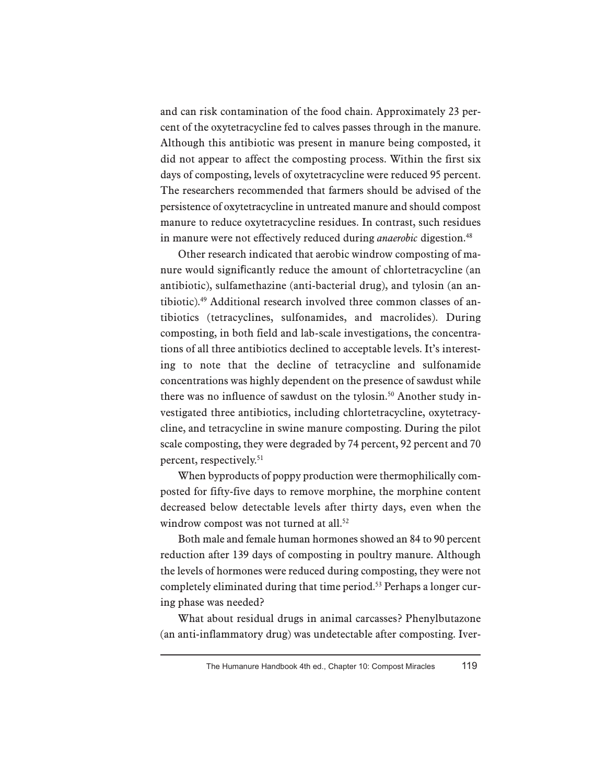and can risk contamination of the food chain. Approximately 23 percent of the oxytetracycline fed to calves passes through in the manure. Although this antibiotic was present in manure being composted, it did not appear to affect the composting process. Within the first six days of composting, levels of oxytetracycline were reduced 95 percent. The researchers recommended that farmers should be advised of the persistence of oxytetracycline in untreated manure and should compost manure to reduce oxytetracycline residues. In contrast, such residues in manure were not effectively reduced during *anaerobic* digestion.<sup>48</sup>

Other research indicated that aerobic windrow composting of manure would significantly reduce the amount of chlortetracycline (an antibiotic), sulfamethazine (anti-bacterial drug), and tylosin (an antibiotic).49 Additional research involved three common classes of antibiotics (tetracyclines, sulfonamides, and macrolides). During composting, in both field and lab-scale investigations, the concentrations of all three antibiotics declined to acceptable levels. It's interesting to note that the decline of tetracycline and sulfonamide concentrations was highly dependent on the presence of sawdust while there was no influence of sawdust on the tylosin.<sup>50</sup> Another study investigated three antibiotics, including chlortetracycline, oxytetracycline, and tetracycline in swine manure composting. During the pilot scale composting, they were degraded by 74 percent, 92 percent and 70 percent, respectively.51

When byproducts of poppy production were thermophilically composted for fifty-five days to remove morphine, the morphine content decreased below detectable levels after thirty days, even when the windrow compost was not turned at all.<sup>52</sup>

Both male and female human hormones showed an 84 to 90 percent reduction after 139 days of composting in poultry manure. Although the levels of hormones were reduced during composting, they were not completely eliminated during that time period.53 Perhaps a longer curing phase was needed?

What about residual drugs in animal carcasses? Phenylbutazone (an anti-inflammatory drug) was undetectable after composting. Iver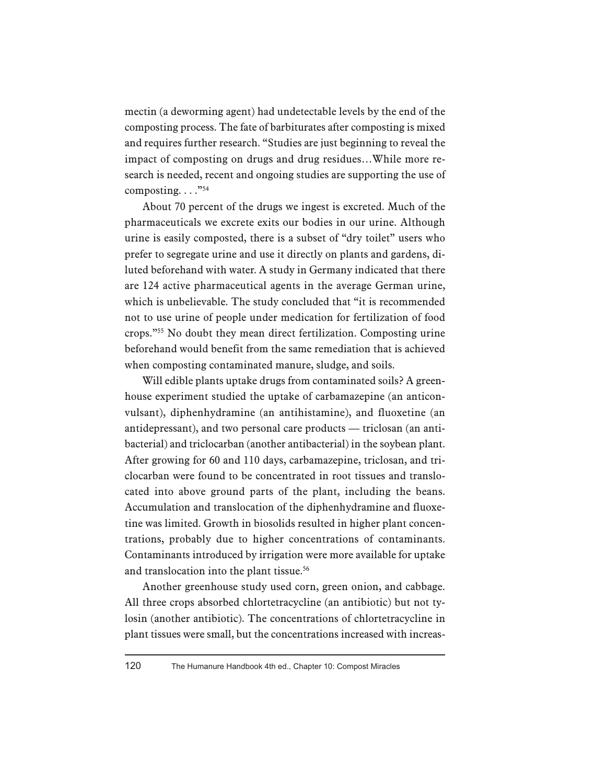mectin (a deworming agent) had undetectable levels by the end of the composting process. The fate of barbiturates after composting is mixed and requires further research. "Studies are just beginning to reveal the impact of composting on drugs and drug residues…While more research is needed, recent and ongoing studies are supporting the use of composting. . . . "<sup>54</sup>

About 70 percent of the drugs we ingest is excreted. Much of the pharmaceuticals we excrete exits our bodies in our urine. Although urine is easily composted, there is a subset of "dry toilet" users who prefer to segregate urine and use it directly on plants and gardens, diluted beforehand with water. A study in Germany indicated that there are 124 active pharmaceutical agents in the average German urine, which is unbelievable. The study concluded that "it is recommended not to use urine of people under medication for fertilization of food crops."55 No doubt they mean direct fertilization. Composting urine beforehand would benefit from the same remediation that is achieved when composting contaminated manure, sludge, and soils.

Will edible plants uptake drugs from contaminated soils? A greenhouse experiment studied the uptake of carbamazepine (an anticonvulsant), diphenhydramine (an antihistamine), and fluoxetine (an antidepressant), and two personal care products — triclosan (an antibacterial) and triclocarban (another antibacterial) in the soybean plant. After growing for 60 and 110 days, carbamazepine, triclosan, and triclocarban were found to be concentrated in root tissues and translocated into above ground parts of the plant, including the beans. Accumulation and translocation of the diphenhydramine and fluoxetine was limited. Growth in biosolids resulted in higher plant concentrations, probably due to higher concentrations of contaminants. Contaminants introduced by irrigation were more available for uptake and translocation into the plant tissue.<sup>56</sup>

Another greenhouse study used corn, green onion, and cabbage. All three crops absorbed chlortetracycline (an antibiotic) but not tylosin (another antibiotic). The concentrations of chlortetracycline in plant tissues were small, but the concentrations increased with increas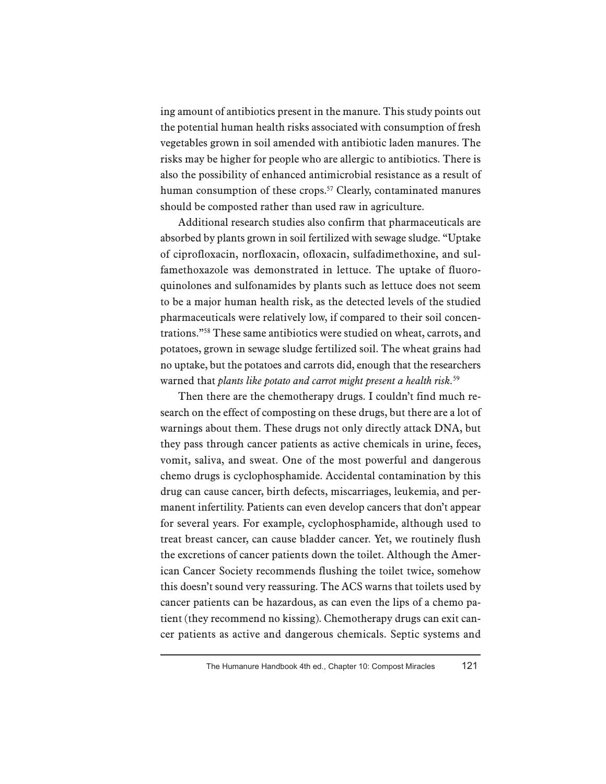ing amount of antibiotics present in the manure. This study points out the potential human health risks associated with consumption of fresh vegetables grown in soil amended with antibiotic laden manures. The risks may be higher for people who are allergic to antibiotics. There is also the possibility of enhanced antimicrobial resistance as a result of human consumption of these crops.<sup>57</sup> Clearly, contaminated manures should be composted rather than used raw in agriculture.

Additional research studies also confirm that pharmaceuticals are absorbed by plants grown in soil fertilized with sewage sludge. "Uptake of ciprofloxacin, norfloxacin, ofloxacin, sulfadimethoxine, and sulfamethoxazole was demonstrated in lettuce. The uptake of fluoroquinolones and sulfonamides by plants such as lettuce does not seem to be a major human health risk, as the detected levels of the studied pharmaceuticals were relatively low, if compared to their soil concentrations."58 These same antibiotics were studied on wheat, carrots, and potatoes, grown in sewage sludge fertilized soil. The wheat grains had no uptake, but the potatoes and carrots did, enough that the researchers warned that *plants like potato and carrot might present a health risk.*<sup>59</sup>

Then there are the chemotherapy drugs. I couldn't find much research on the effect of composting on these drugs, but there are a lot of warnings about them. These drugs not only directly attack DNA, but they pass through cancer patients as active chemicals in urine, feces, vomit, saliva, and sweat. One of the most powerful and dangerous chemo drugs is cyclophosphamide. Accidental contamination by this drug can cause cancer, birth defects, miscarriages, leukemia, and permanent infertility. Patients can even develop cancers that don't appear for several years. For example, cyclophosphamide, although used to treat breast cancer, can cause bladder cancer. Yet, we routinely flush the excretions of cancer patients down the toilet. Although the American Cancer Society recommends flushing the toilet twice, somehow this doesn't sound very reassuring. The ACS warns that toilets used by cancer patients can be hazardous, as can even the lips of a chemo patient (they recommend no kissing). Chemotherapy drugs can exit cancer patients as active and dangerous chemicals. Septic systems and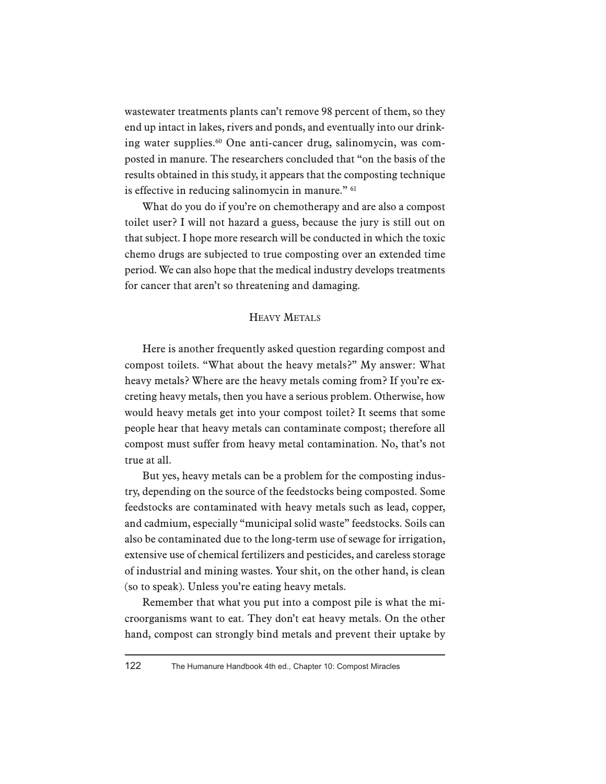wastewater treatments plants can't remove 98 percent of them, so they end up intact in lakes, rivers and ponds, and eventually into our drinking water supplies.<sup>60</sup> One anti-cancer drug, salinomycin, was composted in manure. The researchers concluded that "on the basis of the results obtained in this study, it appears that the composting technique is effective in reducing salinomycin in manure." <sup>61</sup>

What do you do if you're on chemotherapy and are also a compost toilet user? I will not hazard a guess, because the jury is still out on that subject. I hope more research will be conducted in which the toxic chemo drugs are subjected to true composting over an extended time period. We can also hope that the medical industry develops treatments for cancer that aren't so threatening and damaging.

# HEAVY METALS

Here is another frequently asked question regarding compost and compost toilets. "What about the heavy metals?" My answer: What heavy metals? Where are the heavy metals coming from? If you're excreting heavy metals, then you have a serious problem. Otherwise, how would heavy metals get into your compost toilet? It seems that some people hear that heavy metals can contaminate compost; therefore all compost must suffer from heavy metal contamination. No, that's not true at all.

But yes, heavy metals can be a problem for the composting industry, depending on the source of the feedstocks being composted. Some feedstocks are contaminated with heavy metals such as lead, copper, and cadmium, especially "municipal solid waste" feedstocks. Soils can also be contaminated due to the long-term use of sewage for irrigation, extensive use of chemical fertilizers and pesticides, and careless storage of industrial and mining wastes. Your shit, on the other hand, is clean (so to speak). Unless you're eating heavy metals.

Remember that what you put into a compost pile is what the microorganisms want to eat. They don't eat heavy metals. On the other hand, compost can strongly bind metals and prevent their uptake by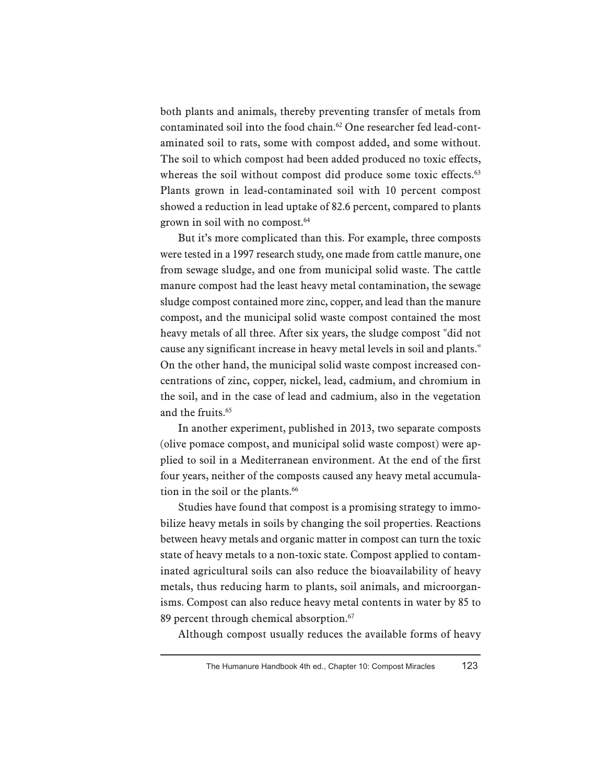both plants and animals, thereby preventing transfer of metals from contaminated soil into the food chain.<sup>62</sup> One researcher fed lead-contaminated soil to rats, some with compost added, and some without. The soil to which compost had been added produced no toxic effects, whereas the soil without compost did produce some toxic effects.<sup>63</sup> Plants grown in lead-contaminated soil with 10 percent compost showed a reduction in lead uptake of 82.6 percent, compared to plants grown in soil with no compost.64

But it's more complicated than this. For example, three composts were tested in a 1997 research study, one made from cattle manure, one from sewage sludge, and one from municipal solid waste. The cattle manure compost had the least heavy metal contamination, the sewage sludge compost contained more zinc, copper, and lead than the manure compost, and the municipal solid waste compost contained the most heavy metals of all three. After six years, the sludge compost "did not cause any significant increase in heavy metal levels in soil and plants." On the other hand, the municipal solid waste compost increased concentrations of zinc, copper, nickel, lead, cadmium, and chromium in the soil, and in the case of lead and cadmium, also in the vegetation and the fruits.65

In another experiment, published in 2013, two separate composts (olive pomace compost, and municipal solid waste compost) were applied to soil in a Mediterranean environment. At the end of the first four years, neither of the composts caused any heavy metal accumulation in the soil or the plants.<sup>66</sup>

Studies have found that compost is a promising strategy to immobilize heavy metals in soils by changing the soil properties. Reactions between heavy metals and organic matter in compost can turn the toxic state of heavy metals to a non-toxic state. Compost applied to contaminated agricultural soils can also reduce the bioavailability of heavy metals, thus reducing harm to plants, soil animals, and microorganisms. Compost can also reduce heavy metal contents in water by 85 to 89 percent through chemical absorption.<sup>67</sup>

Although compost usually reduces the available forms of heavy